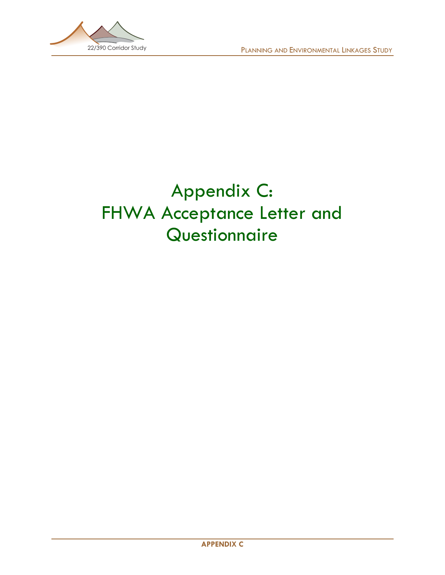

# Appendix C: FHWA Acceptance Letter and **Questionnaire**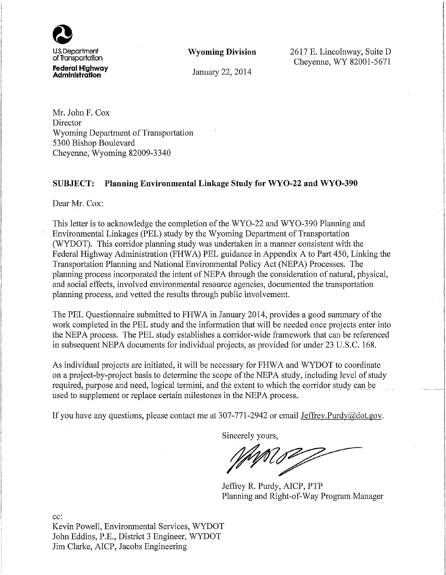

**Wyoming Division** 

2617 E. Lincolnway, Suite D Cheyenne, WY 82001-5671

January 22, 2014

Mr. John F. Cox Director Wyoming Department of Transportation 5300 Bishop Boulevard Cheyenne, Wyoming 82009-3340

### SUBJECT: Planning Environmental Linkage Study for WYO-22 and WYO-390

Dear Mr. Cox:

This letter is to acknowledge the completion of the WYO-22 and WYO-390 Planning and Environmental Linkages (PEL) study by the Wyoming Department of Transportation (WYDOT). This corridor planning study was undertaken in a manner consistent with the Federal Highway Administration (FHWA) PEL guidance in Appendix A to Part 450, Linking the Transportation Planning and National Environmental Policy Act (NEPA) Processes. The planning process incorporated the intent of NEPA through the consideration of natural, physical, and social effects, involved environmental resource agencies, documented the transportation planning process, and vetted the results through public involvement.

The PEL Questionnaire submitted to FHWA in January 2014, provides a good summary of the work completed in the PEL study and the information that will be needed once projects enter into the NEPA process. The PEL study establishes a corridor-wide framework that can be referenced in subsequent NEPA documents for individual projects, as provided for under 23 U.S.C. 168.

As individual projects are initiated, it will be necessary for FHWA and WYDOT to coordinate on a project-by-project basis to determine the scope of the NEPA study, including level of study required, purpose and need, logical termini, and the extent to which the corridor study can be used to supplement or replace certain milestones in the NEPA process.

If you have any questions, please contact me at 307-771-2942 or email Jeffrey.Purdy@dot.gov.

Sincerely yours,

Jeffrey R. Purdy, AICP, PTP Planning and Right-of-Way Program Manager

cc:

Kevin Powell, Environmental Services, WYDOT John Eddins, P.E., District 3 Engineer, WYDOT Jim Clarke, AICP, Jacobs Engineering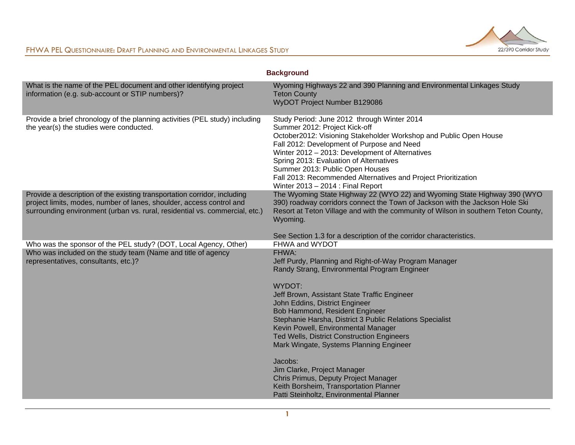

|                                                                                                                                                                                                                                 | <b>Background</b>                                                                                                                                                                                                                                                                                                                                                                                                                               |
|---------------------------------------------------------------------------------------------------------------------------------------------------------------------------------------------------------------------------------|-------------------------------------------------------------------------------------------------------------------------------------------------------------------------------------------------------------------------------------------------------------------------------------------------------------------------------------------------------------------------------------------------------------------------------------------------|
| What is the name of the PEL document and other identifying project<br>information (e.g. sub-account or STIP numbers)?                                                                                                           | Wyoming Highways 22 and 390 Planning and Environmental Linkages Study<br><b>Teton County</b><br>WyDOT Project Number B129086                                                                                                                                                                                                                                                                                                                    |
| Provide a brief chronology of the planning activities (PEL study) including<br>the year(s) the studies were conducted.                                                                                                          | Study Period: June 2012 through Winter 2014<br>Summer 2012: Project Kick-off<br>October2012: Visioning Stakeholder Workshop and Public Open House<br>Fall 2012: Development of Purpose and Need<br>Winter 2012 - 2013: Development of Alternatives<br>Spring 2013: Evaluation of Alternatives<br>Summer 2013: Public Open Houses<br>Fall 2013: Recommended Alternatives and Project Prioritization<br>Winter 2013 - 2014 : Final Report         |
| Provide a description of the existing transportation corridor, including<br>project limits, modes, number of lanes, shoulder, access control and<br>surrounding environment (urban vs. rural, residential vs. commercial, etc.) | The Wyoming State Highway 22 (WYO 22) and Wyoming State Highway 390 (WYO<br>390) roadway corridors connect the Town of Jackson with the Jackson Hole Ski<br>Resort at Teton Village and with the community of Wilson in southern Teton County,<br>Wyoming.<br>See Section 1.3 for a description of the corridor characteristics.                                                                                                                |
| Who was the sponsor of the PEL study? (DOT, Local Agency, Other)                                                                                                                                                                | FHWA and WYDOT                                                                                                                                                                                                                                                                                                                                                                                                                                  |
| Who was included on the study team (Name and title of agency<br>representatives, consultants, etc.)?                                                                                                                            | FHWA:<br>Jeff Purdy, Planning and Right-of-Way Program Manager<br>Randy Strang, Environmental Program Engineer<br>WYDOT:<br>Jeff Brown, Assistant State Traffic Engineer<br>John Eddins, District Engineer<br>Bob Hammond, Resident Engineer<br>Stephanie Harsha, District 3 Public Relations Specialist<br>Kevin Powell, Environmental Manager<br><b>Ted Wells, District Construction Engineers</b><br>Mark Wingate, Systems Planning Engineer |
|                                                                                                                                                                                                                                 | Jacobs:<br>Jim Clarke, Project Manager<br>Chris Primus, Deputy Project Manager<br>Keith Borsheim, Transportation Planner<br>Patti Steinholtz, Environmental Planner                                                                                                                                                                                                                                                                             |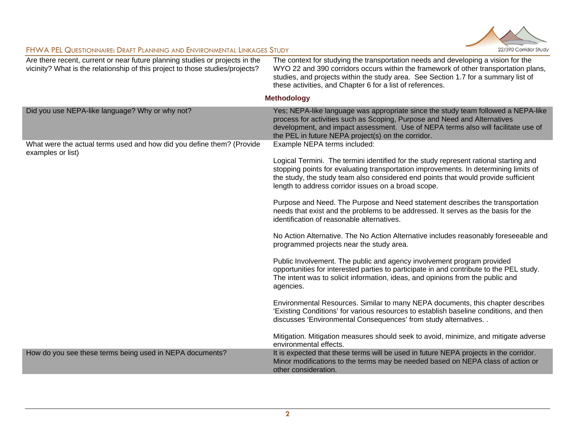

| Are there recent, current or near future planning studies or projects in the<br>vicinity? What is the relationship of this project to those studies/projects? | The context for studying the transportation needs and developing a vision for the<br>WYO 22 and 390 corridors occurs within the framework of other transportation plans,<br>studies, and projects within the study area. See Section 1.7 for a summary list of<br>these activities, and Chapter 6 for a list of references. |  |
|---------------------------------------------------------------------------------------------------------------------------------------------------------------|-----------------------------------------------------------------------------------------------------------------------------------------------------------------------------------------------------------------------------------------------------------------------------------------------------------------------------|--|
| <b>Methodology</b>                                                                                                                                            |                                                                                                                                                                                                                                                                                                                             |  |
| Did you use NEPA-like language? Why or why not?                                                                                                               | Yes; NEPA-like language was appropriate since the study team followed a NEPA-like<br>process for activities such as Scoping, Purpose and Need and Alternatives<br>development, and impact assessment. Use of NEPA terms also will facilitate use of<br>the PEL in future NEPA project(s) on the corridor.                   |  |
| What were the actual terms used and how did you define them? (Provide<br>examples or list)                                                                    | Example NEPA terms included:                                                                                                                                                                                                                                                                                                |  |
|                                                                                                                                                               | Logical Termini. The termini identified for the study represent rational starting and<br>stopping points for evaluating transportation improvements. In determining limits of<br>the study, the study team also considered end points that would provide sufficient<br>length to address corridor issues on a broad scope.  |  |
|                                                                                                                                                               | Purpose and Need. The Purpose and Need statement describes the transportation<br>needs that exist and the problems to be addressed. It serves as the basis for the<br>identification of reasonable alternatives.                                                                                                            |  |
|                                                                                                                                                               | No Action Alternative. The No Action Alternative includes reasonably foreseeable and<br>programmed projects near the study area.                                                                                                                                                                                            |  |
|                                                                                                                                                               | Public Involvement. The public and agency involvement program provided<br>opportunities for interested parties to participate in and contribute to the PEL study.<br>The intent was to solicit information, ideas, and opinions from the public and<br>agencies.                                                            |  |
|                                                                                                                                                               | Environmental Resources. Similar to many NEPA documents, this chapter describes<br>'Existing Conditions' for various resources to establish baseline conditions, and then<br>discusses 'Environmental Consequences' from study alternatives. .                                                                              |  |
|                                                                                                                                                               | Mitigation. Mitigation measures should seek to avoid, minimize, and mitigate adverse<br>environmental effects.                                                                                                                                                                                                              |  |
| How do you see these terms being used in NEPA documents?                                                                                                      | It is expected that these terms will be used in future NEPA projects in the corridor.<br>Minor modifications to the terms may be needed based on NEPA class of action or<br>other consideration.                                                                                                                            |  |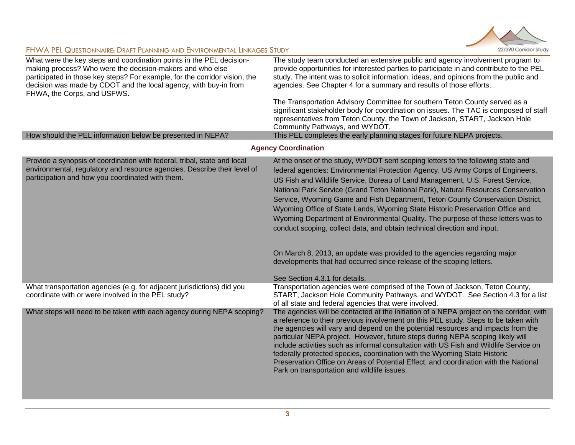

| What were the key steps and coordination points in the PEL decision-<br>making process? Who were the decision-makers and who else<br>participated in those key steps? For example, for the corridor vision, the<br>decision was made by CDOT and the local agency, with buy-in from<br>FHWA, the Corps, and USFWS.<br>How should the PEL information below be presented in NEPA? | The study team conducted an extensive public and agency involvement program to<br>provide opportunities for interested parties to participate in and contribute to the PEL<br>study. The intent was to solicit information, ideas, and opinions from the public and<br>agencies. See Chapter 4 for a summary and results of those efforts.<br>The Transportation Advisory Committee for southern Teton County served as a<br>significant stakeholder body for coordination on issues. The TAC is composed of staff<br>representatives from Teton County, the Town of Jackson, START, Jackson Hole<br>Community Pathways, and WYDOT.<br>This PEL completes the early planning stages for future NEPA projects.                                                                                                                   |  |
|----------------------------------------------------------------------------------------------------------------------------------------------------------------------------------------------------------------------------------------------------------------------------------------------------------------------------------------------------------------------------------|---------------------------------------------------------------------------------------------------------------------------------------------------------------------------------------------------------------------------------------------------------------------------------------------------------------------------------------------------------------------------------------------------------------------------------------------------------------------------------------------------------------------------------------------------------------------------------------------------------------------------------------------------------------------------------------------------------------------------------------------------------------------------------------------------------------------------------|--|
| <b>Agency Coordination</b>                                                                                                                                                                                                                                                                                                                                                       |                                                                                                                                                                                                                                                                                                                                                                                                                                                                                                                                                                                                                                                                                                                                                                                                                                 |  |
| Provide a synopsis of coordination with federal, tribal, state and local<br>environmental, regulatory and resource agencies. Describe their level of<br>participation and how you coordinated with them.                                                                                                                                                                         | At the onset of the study, WYDOT sent scoping letters to the following state and<br>federal agencies: Environmental Protection Agency, US Army Corps of Engineers,<br>US Fish and Wildlife Service, Bureau of Land Management, U.S. Forest Service,<br>National Park Service (Grand Teton National Park), Natural Resources Conservation<br>Service, Wyoming Game and Fish Department, Teton County Conservation District,<br>Wyoming Office of State Lands, Wyoming State Historic Preservation Office and<br>Wyoming Department of Environmental Quality. The purpose of these letters was to<br>conduct scoping, collect data, and obtain technical direction and input.<br>On March 8, 2013, an update was provided to the agencies regarding major<br>developments that had occurred since release of the scoping letters. |  |
| What transportation agencies (e.g. for adjacent jurisdictions) did you<br>coordinate with or were involved in the PEL study?                                                                                                                                                                                                                                                     | See Section 4.3.1 for details.<br>Transportation agencies were comprised of the Town of Jackson, Teton County,<br>START, Jackson Hole Community Pathways, and WYDOT. See Section 4.3 for a list<br>of all state and federal agencies that were involved.                                                                                                                                                                                                                                                                                                                                                                                                                                                                                                                                                                        |  |
| What steps will need to be taken with each agency during NEPA scoping?                                                                                                                                                                                                                                                                                                           | The agencies will be contacted at the initiation of a NEPA project on the corridor, with<br>a reference to their previous involvement on this PEL study. Steps to be taken with<br>the agencies will vary and depend on the potential resources and impacts from the<br>particular NEPA project. However, future steps during NEPA scoping likely will<br>include activities such as informal consultation with US Fish and Wildlife Service on<br>federally protected species, coordination with the Wyoming State Historic<br>Preservation Office on Areas of Potential Effect, and coordination with the National<br>Park on transportation and wildlife issues.                                                                                                                                                             |  |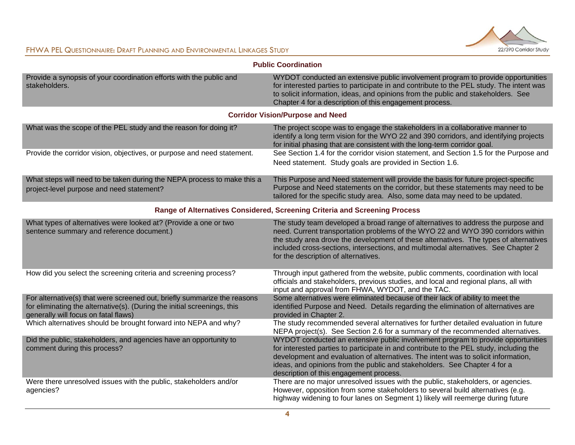

| <b>Public Coordination</b>                                                                                                                                                                   |                                                                                                                                                                                                                                                                                                                                                                                              |  |
|----------------------------------------------------------------------------------------------------------------------------------------------------------------------------------------------|----------------------------------------------------------------------------------------------------------------------------------------------------------------------------------------------------------------------------------------------------------------------------------------------------------------------------------------------------------------------------------------------|--|
| Provide a synopsis of your coordination efforts with the public and<br>stakeholders.                                                                                                         | WYDOT conducted an extensive public involvement program to provide opportunities<br>for interested parties to participate in and contribute to the PEL study. The intent was<br>to solicit information, ideas, and opinions from the public and stakeholders. See<br>Chapter 4 for a description of this engagement process.                                                                 |  |
|                                                                                                                                                                                              | <b>Corridor Vision/Purpose and Need</b>                                                                                                                                                                                                                                                                                                                                                      |  |
| What was the scope of the PEL study and the reason for doing it?                                                                                                                             | The project scope was to engage the stakeholders in a collaborative manner to<br>identify a long term vision for the WYO 22 and 390 corridors, and identifying projects<br>for initial phasing that are consistent with the long-term corridor goal.                                                                                                                                         |  |
| Provide the corridor vision, objectives, or purpose and need statement.                                                                                                                      | See Section 1.4 for the corridor vision statement, and Section 1.5 for the Purpose and<br>Need statement. Study goals are provided in Section 1.6.                                                                                                                                                                                                                                           |  |
| What steps will need to be taken during the NEPA process to make this a<br>project-level purpose and need statement?                                                                         | This Purpose and Need statement will provide the basis for future project-specific<br>Purpose and Need statements on the corridor, but these statements may need to be<br>tailored for the specific study area. Also, some data may need to be updated.                                                                                                                                      |  |
| Range of Alternatives Considered, Screening Criteria and Screening Process                                                                                                                   |                                                                                                                                                                                                                                                                                                                                                                                              |  |
| What types of alternatives were looked at? (Provide a one or two<br>sentence summary and reference document.)                                                                                | The study team developed a broad range of alternatives to address the purpose and<br>need. Current transportation problems of the WYO 22 and WYO 390 corridors within<br>the study area drove the development of these alternatives. The types of alternatives<br>included cross-sections, intersections, and multimodal alternatives. See Chapter 2<br>for the description of alternatives. |  |
| How did you select the screening criteria and screening process?                                                                                                                             | Through input gathered from the website, public comments, coordination with local<br>officials and stakeholders, previous studies, and local and regional plans, all with<br>input and approval from FHWA, WYDOT, and the TAC.                                                                                                                                                               |  |
| For alternative(s) that were screened out, briefly summarize the reasons<br>for eliminating the alternative(s). (During the initial screenings, this<br>generally will focus on fatal flaws) | Some alternatives were eliminated because of their lack of ability to meet the<br>identified Purpose and Need. Details regarding the elimination of alternatives are<br>provided in Chapter 2.                                                                                                                                                                                               |  |
| Which alternatives should be brought forward into NEPA and why?                                                                                                                              | The study recommended several alternatives for further detailed evaluation in future<br>NEPA project(s). See Section 2.6 for a summary of the recommended alternatives.                                                                                                                                                                                                                      |  |
| Did the public, stakeholders, and agencies have an opportunity to<br>comment during this process?                                                                                            | WYDOT conducted an extensive public involvement program to provide opportunities<br>for interested parties to participate in and contribute to the PEL study, including the<br>development and evaluation of alternatives. The intent was to solicit information,<br>ideas, and opinions from the public and stakeholders. See Chapter 4 for a<br>description of this engagement process.    |  |
| Were there unresolved issues with the public, stakeholders and/or<br>agencies?                                                                                                               | There are no major unresolved issues with the public, stakeholders, or agencies.<br>However, opposition from some stakeholders to several build alternatives (e.g.<br>highway widening to four lanes on Segment 1) likely will reemerge during future                                                                                                                                        |  |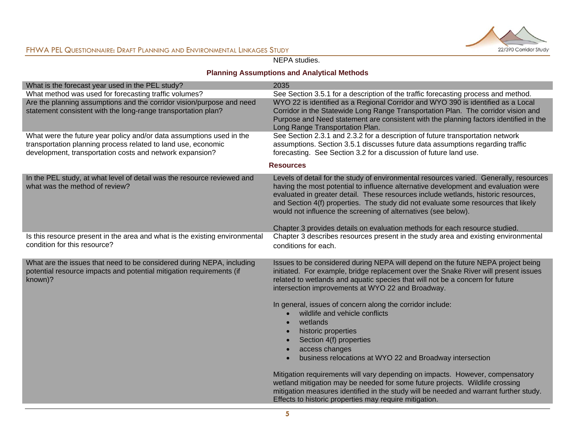

#### NEPA studies.

## **Planning Assumptions and Analytical Methods**

| What is the forecast year used in the PEL study?                                                                                                                                                  | 2035                                                                                                                                                                                                                                                                                                                                                                                                                                                                                                                                                                               |
|---------------------------------------------------------------------------------------------------------------------------------------------------------------------------------------------------|------------------------------------------------------------------------------------------------------------------------------------------------------------------------------------------------------------------------------------------------------------------------------------------------------------------------------------------------------------------------------------------------------------------------------------------------------------------------------------------------------------------------------------------------------------------------------------|
| What method was used for forecasting traffic volumes?                                                                                                                                             | See Section 3.5.1 for a description of the traffic forecasting process and method.                                                                                                                                                                                                                                                                                                                                                                                                                                                                                                 |
| Are the planning assumptions and the corridor vision/purpose and need<br>statement consistent with the long-range transportation plan?                                                            | WYO 22 is identified as a Regional Corridor and WYO 390 is identified as a Local<br>Corridor in the Statewide Long Range Transportation Plan. The corridor vision and<br>Purpose and Need statement are consistent with the planning factors identified in the<br>Long Range Transportation Plan.                                                                                                                                                                                                                                                                                  |
| What were the future year policy and/or data assumptions used in the<br>transportation planning process related to land use, economic<br>development, transportation costs and network expansion? | See Section 2.3.1 and 2.3.2 for a description of future transportation network<br>assumptions. Section 3.5.1 discusses future data assumptions regarding traffic<br>forecasting. See Section 3.2 for a discussion of future land use.                                                                                                                                                                                                                                                                                                                                              |
|                                                                                                                                                                                                   | <b>Resources</b>                                                                                                                                                                                                                                                                                                                                                                                                                                                                                                                                                                   |
| In the PEL study, at what level of detail was the resource reviewed and<br>what was the method of review?                                                                                         | Levels of detail for the study of environmental resources varied. Generally, resources<br>having the most potential to influence alternative development and evaluation were<br>evaluated in greater detail. These resources include wetlands, historic resources,<br>and Section 4(f) properties. The study did not evaluate some resources that likely<br>would not influence the screening of alternatives (see below).                                                                                                                                                         |
| Is this resource present in the area and what is the existing environmental                                                                                                                       | Chapter 3 provides details on evaluation methods for each resource studied.<br>Chapter 3 describes resources present in the study area and existing environmental                                                                                                                                                                                                                                                                                                                                                                                                                  |
| condition for this resource?                                                                                                                                                                      | conditions for each.                                                                                                                                                                                                                                                                                                                                                                                                                                                                                                                                                               |
| What are the issues that need to be considered during NEPA, including<br>potential resource impacts and potential mitigation requirements (if<br>known)?                                          | Issues to be considered during NEPA will depend on the future NEPA project being<br>initiated. For example, bridge replacement over the Snake River will present issues<br>related to wetlands and aquatic species that will not be a concern for future<br>intersection improvements at WYO 22 and Broadway.<br>In general, issues of concern along the corridor include:<br>wildlife and vehicle conflicts<br>wetlands<br>$\bullet$<br>historic properties<br>$\bullet$<br>Section 4(f) properties<br>access changes<br>business relocations at WYO 22 and Broadway intersection |
|                                                                                                                                                                                                   | Mitigation requirements will vary depending on impacts. However, compensatory<br>wetland mitigation may be needed for some future projects. Wildlife crossing<br>mitigation measures identified in the study will be needed and warrant further study.<br>Effects to historic properties may require mitigation.                                                                                                                                                                                                                                                                   |